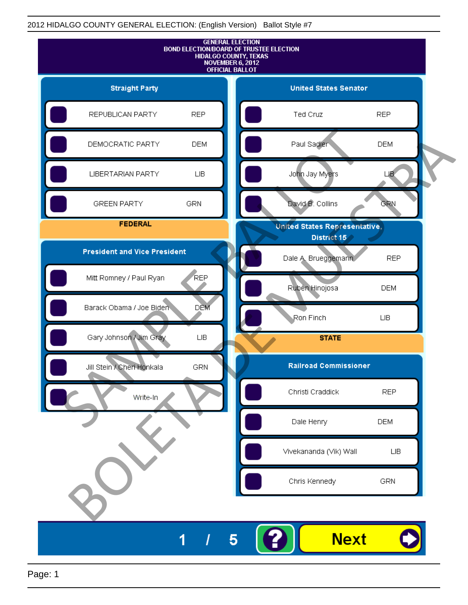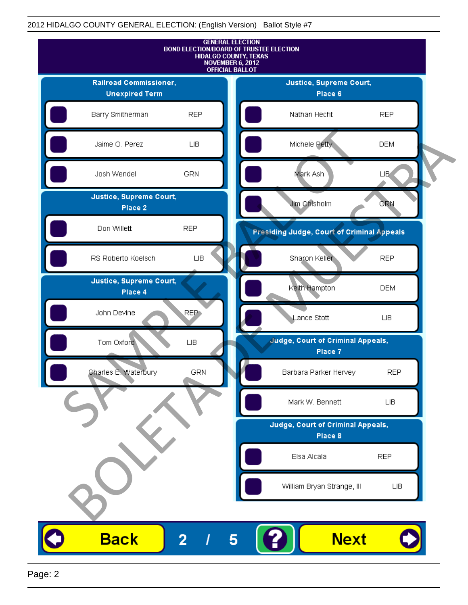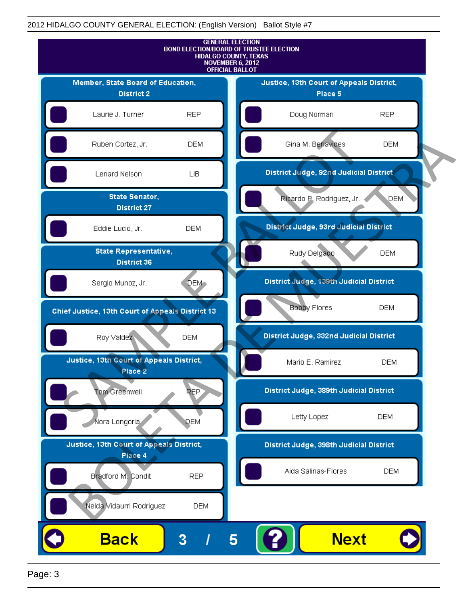

Page: 3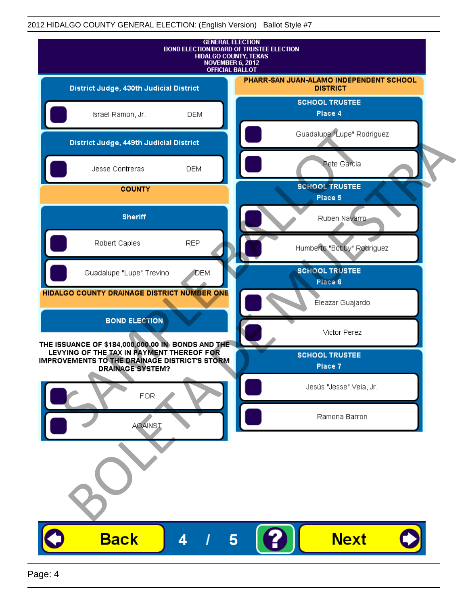| <b>GENERAL ELECTION</b><br>BOND ELECTION/BOARD OF TRUSTEE ELECTION<br>HIDALGO COUNTY, TEXAS<br>NOVEMBER 6, 2012<br><b>OFFICIAL BALLOT</b>                                  |              |                                                            |
|----------------------------------------------------------------------------------------------------------------------------------------------------------------------------|--------------|------------------------------------------------------------|
| District Judge, 430th Judicial District                                                                                                                                    |              | PHARR-SAN JUAN-ALAMO INDEPENDENT SCHOOL<br><b>DISTRICT</b> |
| Israel Ramon, Jr.                                                                                                                                                          | <b>DEM</b>   | <b>SCHOOL TRUSTEE</b><br>Place 4                           |
| District Judge, 449th Judicial District                                                                                                                                    |              | Guadalupe "Lupe" Rodriguez                                 |
| Jesse Contreras                                                                                                                                                            | <b>DEM</b>   | Pete Garcia                                                |
| <b>COUNTY</b>                                                                                                                                                              |              | <b>SCHOOL TRUSTEE</b><br>Place 5                           |
| <b>Sheriff</b>                                                                                                                                                             |              | Ruben Navarro-                                             |
| Robert Caples                                                                                                                                                              | <b>REP</b>   | Humberto "Bobby" Rodriguez                                 |
| Guadalupe "Lupe" Trevino                                                                                                                                                   | <b>J</b> DEM | <b>SCHOOL TRUSTEE</b><br>Place 6                           |
| HIDALGO COUNTY DRAINAGE DISTRICT NUMBER ONE                                                                                                                                |              | Éleazar Guajardo                                           |
| <b>BOND ELECTION</b>                                                                                                                                                       |              | Victor Perez                                               |
| THE ISSUANCE OF \$184,000,000.00 IN BONDS AND THE<br>LEVYING OF THE TAX IN PAYMENT THEREOF FOR<br>IMPROVEMENTS TO THE DRAINAGE DISTRICT'S STORM<br><b>DRAINAGE SYSTEM?</b> |              | <b>SCHOOL TRUSTEE</b><br>Place 7                           |
| <b>FOR</b>                                                                                                                                                                 |              | Jesús "Jesse" Vela, Jr.                                    |
| <b>AGAINST</b>                                                                                                                                                             |              | Ramona Barron                                              |
|                                                                                                                                                                            |              |                                                            |
| <b>Back</b>                                                                                                                                                                | 4            | <b>Next</b>                                                |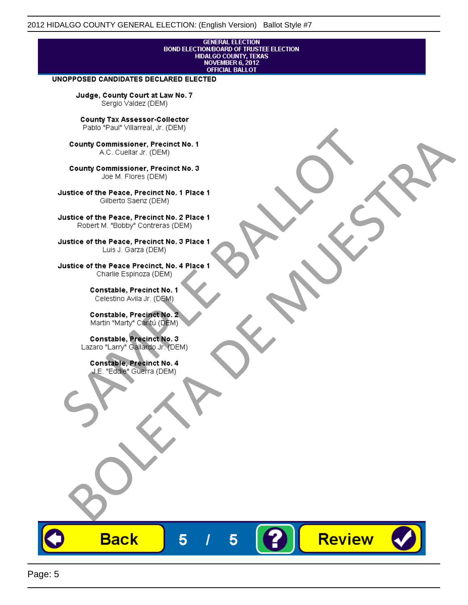# **GENERAL ELECTION** BOND ELECTION/BOARD OF TRUSTEE ELECTION<br>HIDALGO COUNTY, TEXAS<br>NOVEMBER 6, 2012<br>OFFICIAL BALLOT

Review

#### UNOPPOSED CANDIDATES DECLARED ELECTED

Judge, County Court at Law No. 7 Sergio Valdez (DEM)

County Tax Assessor-Collector

Frame The Passe, Precinct No. 1<br>
County Commissioner, Precinct No. 1<br>
SC. Cutellar Jr. (DEM)<br>
County Commissioner, Precinct No. 2<br>
Ulastice of the Peace, Precinct No. 2<br>
Ulastice of the Peace, Precinct No. 2<br>
Robert M. "Bl County Commissioner, Precinat No. 1<br>
A County Commissioner, Precinat No. 3<br>
Use of the Peace, Precinat No. 3<br>
Use of the Peace, Precinat No. 1<br>
There is a precinc No. 2<br>
There is a precinc No. 2<br>
There is a precinc No. 2<br>

**Back** 

5

5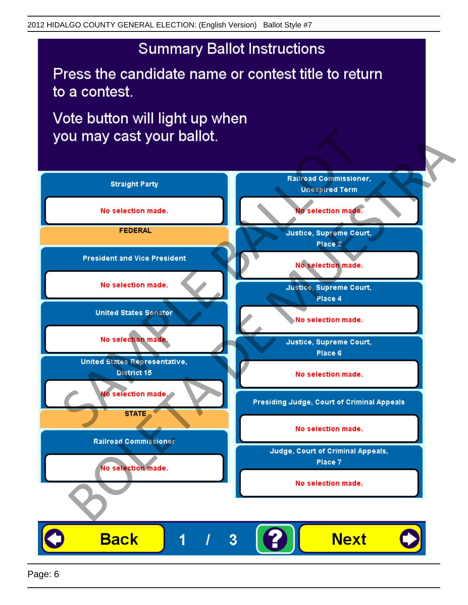## **Summary Ballot Instructions**

Press the candidate name or contest title to return to a contest.

Vote button will light up when

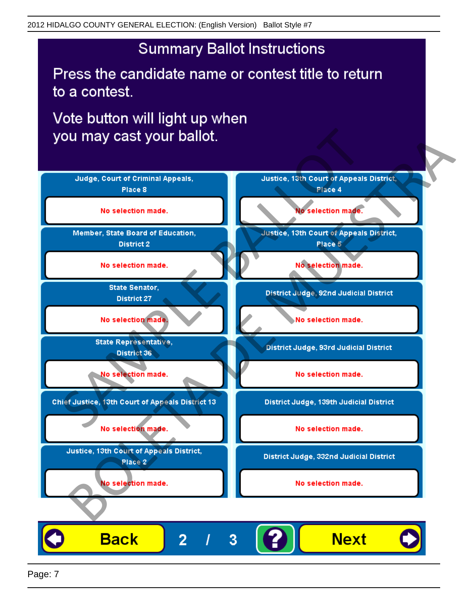## **Summary Ballot Instructions**

Press the candidate name or contest title to return to a contest.

Vote button will light up when